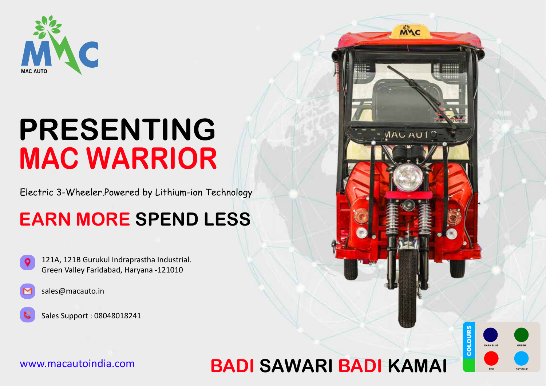

# **PRESENTING MAC WARRIOR**

Electric 3-Wheeler.Powered by Lithium-ion Technology

### **EARN MORE SPEND LESS**





Sales Support : 08048018241

### WWW.macautoindia.com **BADI SAWARI BADI KAMAI**



COLOURS

MAC

MAC AUTO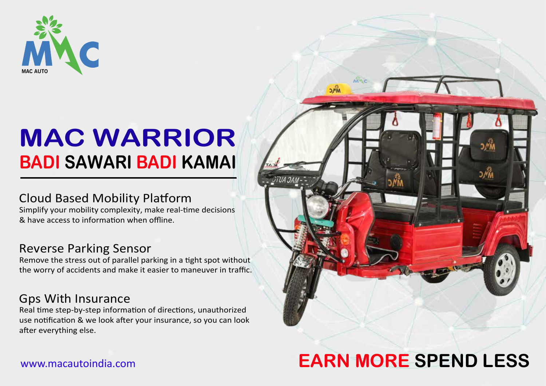

# **MAC WARRIOR BADI SAWARI BADI KAMAI**

#### Cloud Based Mobility Platform

Simplify your mobility complexity, make real-time decisions & have access to information when offline.

#### Reverse Parking Sensor

Remove the stress out of parallel parking in a tight spot without the worry of accidents and make it easier to maneuver in traffic.

#### Gps With Insurance

Real time step-by-step information of directions, unauthorized use notification & we look after your insurance, so you can look after everything else.

## **EARN MORE SPEND LESS**

 $2M_{M}$ 

#### www.macautoindia.com